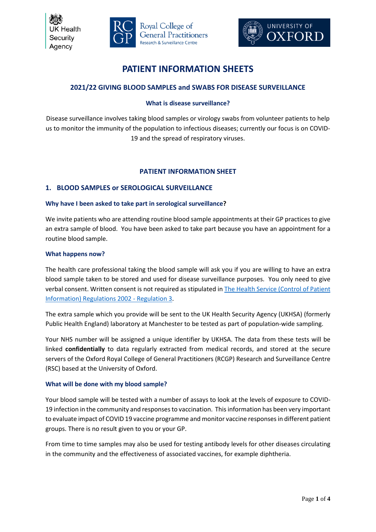





# **PATIENT INFORMATION SHEETS**

# **2021/22 GIVING BLOOD SAMPLES and SWABS FOR DISEASE SURVEILLANCE**

# **What is disease surveillance?**

Disease surveillance involves taking blood samples or virology swabs from volunteer patients to help us to monitor the immunity of the population to infectious diseases; currently our focus is on COVID-19 and the spread of respiratory viruses.

# **PATIENT INFORMATION SHEET**

# **1. BLOOD SAMPLES or SEROLOGICAL SURVEILLANCE**

# **Why have I been asked to take part in serological surveillance?**

We invite patients who are attending routine blood sample appointments at their GP practices to give an extra sample of blood. You have been asked to take part because you have an appointment for a routine blood sample.

# **What happens now?**

The health care professional taking the blood sample will ask you if you are willing to have an extra blood sample taken to be stored and used for disease surveillance purposes. You only need to give verbal consent. Written consent is not required as stipulated in The Health Service (Control of Patient Information) Regulations 2002 - Regulation 3.

The extra sample which you provide will be sent to the UK Health Security Agency (UKHSA) (formerly Public Health England) laboratory at Manchester to be tested as part of population-wide sampling.

Your NHS number will be assigned a unique identifier by UKHSA. The data from these tests will be linked **confidentially** to data regularly extracted from medical records, and stored at the secure servers of the Oxford Royal College of General Practitioners (RCGP) Research and Surveillance Centre (RSC) based at the University of Oxford.

# **What will be done with my blood sample?**

Your blood sample will be tested with a number of assays to look at the levels of exposure to COVID-19 infection in the community and responses to vaccination. This information has been very important to evaluate impact of COVID 19 vaccine programme and monitor vaccine responses in different patient groups. There is no result given to you or your GP.

From time to time samples may also be used for testing antibody levels for other diseases circulating in the community and the effectiveness of associated vaccines, for example diphtheria.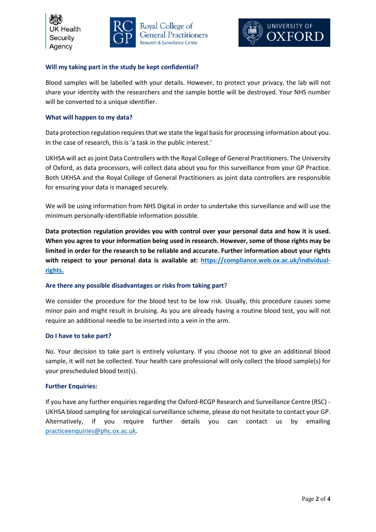





# **Will my taking part in the study be kept confidential?**

Blood samples will be labelled with your details. However, to protect your privacy, the lab will not share your identity with the researchers and the sample bottle will be destroyed. Your NHS number will be converted to a unique identifier.

### **What will happen to my data?**

Data protection regulation requires that we state the legal basis for processing information about you. In the case of research, this is 'a task in the public interest.'

UKHSA will act as joint Data Controllers with the Royal College of General Practitioners. The University of Oxford, as data processors, will collect data about you for this surveillance from your GP Practice. Both UKHSA and the Royal College of General Practitioners as joint data controllers are responsible for ensuring your data is managed securely.

We will be using information from NHS Digital in order to undertake this surveillance and will use the minimum personally-identifiable information possible.

**Data protection regulation provides you with control over your personal data and how it is used. When you agree to your information being used in research. However, some of those rights may be limited in order for the research to be reliable and accurate. Further information about your rights**  with respect to your personal data is available at: https://compliance.web.ox.ac.uk/individual**rights.**

### **Are there any possible disadvantages or risks from taking part**?

We consider the procedure for the blood test to be low risk. Usually, this procedure causes some minor pain and might result in bruising. As you are already having a routine blood test, you will not require an additional needle to be inserted into a vein in the arm.

### **Do I have to take part?**

No. Your decision to take part is entirely voluntary. If you choose not to give an additional blood sample, it will not be collected. Your health care professional will only collect the blood sample(s) for your prescheduled blood test(s).

### **Further Enquiries:**

If you have any further enquiries regarding the Oxford-RCGP Research and Surveillance Centre (RSC) - UKHSA blood sampling for serological surveillance scheme, please do not hesitate to contact your GP. Alternatively, if you require further details you can contact us by emailing practiceenquiries@phc.ox.ac.uk.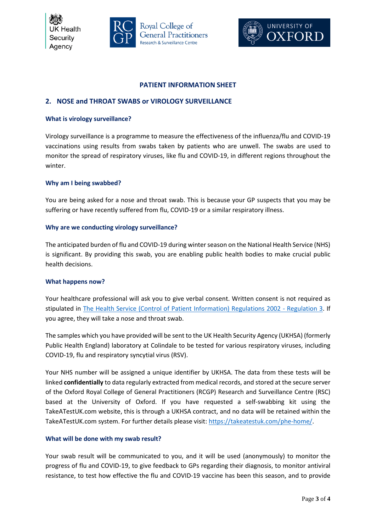IK Health Security Agency





# **PATIENT INFORMATION SHEET**

# **2. NOSE and THROAT SWABS or VIROLOGY SURVEILLANCE**

#### **What is virology surveillance?**

Virology surveillance is a programme to measure the effectiveness of the influenza/flu and COVID-19 vaccinations using results from swabs taken by patients who are unwell. The swabs are used to monitor the spread of respiratory viruses, like flu and COVID-19, in different regions throughout the winter.

#### **Why am I being swabbed?**

You are being asked for a nose and throat swab. This is because your GP suspects that you may be suffering or have recently suffered from flu, COVID-19 or a similar respiratory illness.

#### **Why are we conducting virology surveillance?**

The anticipated burden of flu and COVID-19 during winter season on the National Health Service (NHS) is significant. By providing this swab, you are enabling public health bodies to make crucial public health decisions.

#### **What happens now?**

Your healthcare professional will ask you to give verbal consent. Written consent is not required as stipulated in The Health Service (Control of Patient Information) Regulations 2002 - Regulation 3. If you agree, they will take a nose and throat swab.

The samples which you have provided will be sent to the UK Health Security Agency (UKHSA) (formerly Public Health England) laboratory at Colindale to be tested for various respiratory viruses, including COVID-19, flu and respiratory syncytial virus (RSV).

Your NHS number will be assigned a unique identifier by UKHSA. The data from these tests will be linked **confidentially** to data regularly extracted from medical records, and stored at the secure server of the Oxford Royal College of General Practitioners (RCGP) Research and Surveillance Centre (RSC) based at the University of Oxford. If you have requested a self-swabbing kit using the TakeATestUK.com website, this is through a UKHSA contract, and no data will be retained within the TakeATestUK.com system. For further details please visit: https://takeatestuk.com/phe-home/.

### **What will be done with my swab result?**

Your swab result will be communicated to you, and it will be used (anonymously) to monitor the progress of flu and COVID-19, to give feedback to GPs regarding their diagnosis, to monitor antiviral resistance, to test how effective the flu and COVID-19 vaccine has been this season, and to provide